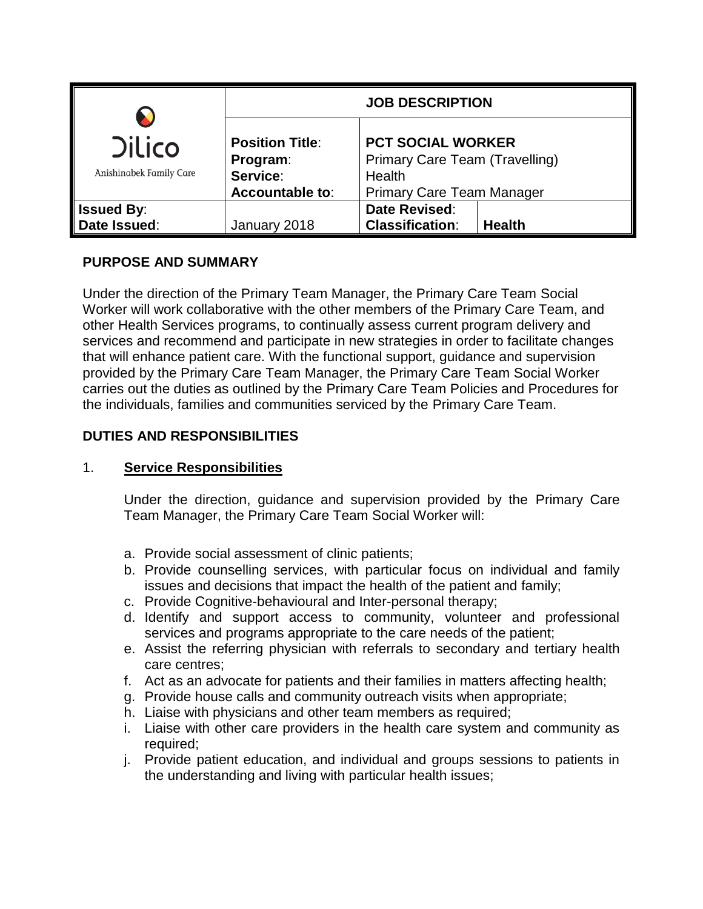|                                          | <b>JOB DESCRIPTION</b>                                            |                                                                                                          |               |
|------------------------------------------|-------------------------------------------------------------------|----------------------------------------------------------------------------------------------------------|---------------|
| <b>Dilico</b><br>Anishinabek Family Care | <b>Position Title:</b><br>Program:<br>Service:<br>Accountable to: | <b>PCT SOCIAL WORKER</b><br>Primary Care Team (Travelling)<br>Health<br><b>Primary Care Team Manager</b> |               |
| <b>Issued By:</b>                        |                                                                   | Date Revised:                                                                                            |               |
| Date Issued:                             | January 2018                                                      | <b>Classification:</b>                                                                                   | <b>Health</b> |

# **PURPOSE AND SUMMARY**

Under the direction of the Primary Team Manager, the Primary Care Team Social Worker will work collaborative with the other members of the Primary Care Team, and other Health Services programs, to continually assess current program delivery and services and recommend and participate in new strategies in order to facilitate changes that will enhance patient care. With the functional support, guidance and supervision provided by the Primary Care Team Manager, the Primary Care Team Social Worker carries out the duties as outlined by the Primary Care Team Policies and Procedures for the individuals, families and communities serviced by the Primary Care Team.

# **DUTIES AND RESPONSIBILITIES**

#### 1. **Service Responsibilities**

Under the direction, guidance and supervision provided by the Primary Care Team Manager, the Primary Care Team Social Worker will:

- a. Provide social assessment of clinic patients;
- b. Provide counselling services, with particular focus on individual and family issues and decisions that impact the health of the patient and family;
- c. Provide Cognitive-behavioural and Inter-personal therapy;
- d. Identify and support access to community, volunteer and professional services and programs appropriate to the care needs of the patient;
- e. Assist the referring physician with referrals to secondary and tertiary health care centres;
- f. Act as an advocate for patients and their families in matters affecting health;
- g. Provide house calls and community outreach visits when appropriate;
- h. Liaise with physicians and other team members as required;
- i. Liaise with other care providers in the health care system and community as required;
- j. Provide patient education, and individual and groups sessions to patients in the understanding and living with particular health issues;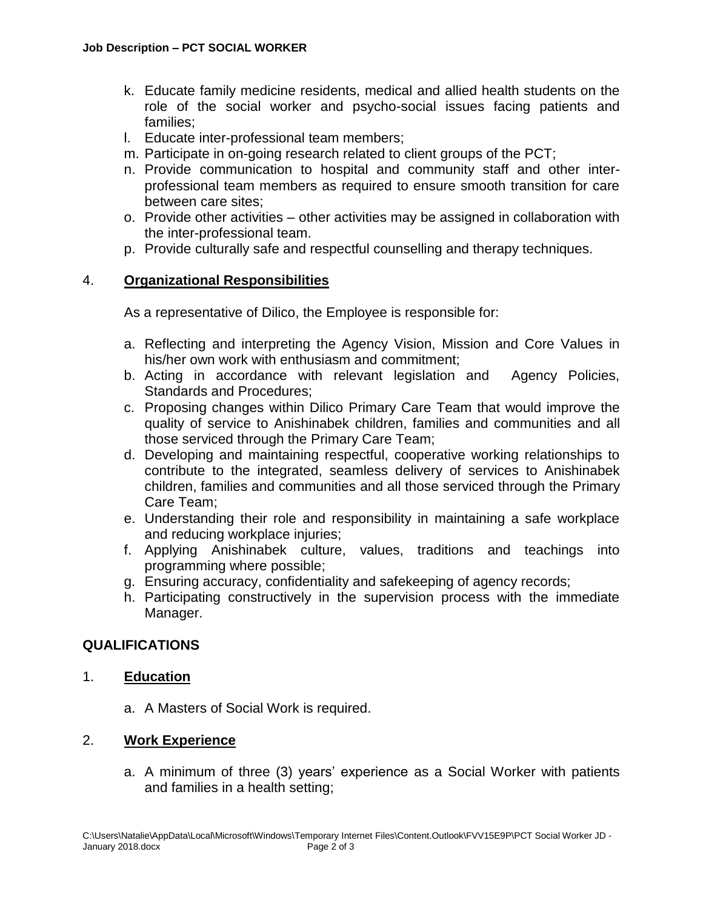- k. Educate family medicine residents, medical and allied health students on the role of the social worker and psycho-social issues facing patients and families;
- l. Educate inter-professional team members;
- m. Participate in on-going research related to client groups of the PCT;
- n. Provide communication to hospital and community staff and other interprofessional team members as required to ensure smooth transition for care between care sites;
- o. Provide other activities other activities may be assigned in collaboration with the inter-professional team.
- p. Provide culturally safe and respectful counselling and therapy techniques.

#### 4. **Organizational Responsibilities**

As a representative of Dilico, the Employee is responsible for:

- a. Reflecting and interpreting the Agency Vision, Mission and Core Values in his/her own work with enthusiasm and commitment;
- b. Acting in accordance with relevant legislation and Agency Policies, Standards and Procedures;
- c. Proposing changes within Dilico Primary Care Team that would improve the quality of service to Anishinabek children, families and communities and all those serviced through the Primary Care Team;
- d. Developing and maintaining respectful, cooperative working relationships to contribute to the integrated, seamless delivery of services to Anishinabek children, families and communities and all those serviced through the Primary Care Team;
- e. Understanding their role and responsibility in maintaining a safe workplace and reducing workplace injuries;
- f. Applying Anishinabek culture, values, traditions and teachings into programming where possible;
- g. Ensuring accuracy, confidentiality and safekeeping of agency records;
- h. Participating constructively in the supervision process with the immediate Manager.

#### **QUALIFICATIONS**

### 1. **Education**

a. A Masters of Social Work is required.

### 2. **Work Experience**

a. A minimum of three (3) years' experience as a Social Worker with patients and families in a health setting;